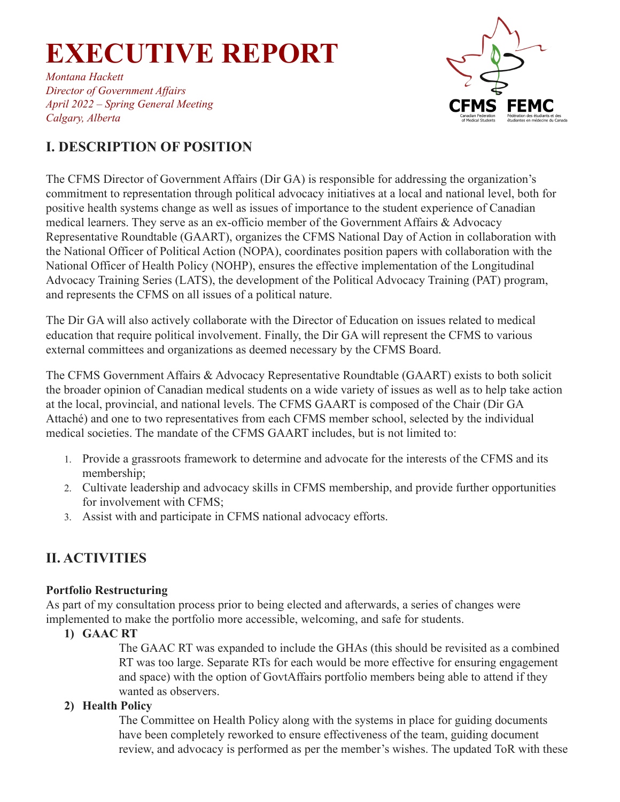*Montana Hackett Director of Government Af airs April 2022 – Spring General Meeting Calgary, Alberta*



### **I. DESCRIPTION OF POSITION**

The CFMS Director of Government Affairs (Dir GA) is responsible for addressing the organization's commitment to representation through political advocacy initiatives at a local and national level, both for positive health systems change as well as issues of importance to the student experience of Canadian medical learners. They serve as an ex-officio member of the Government Affairs & Advocacy Representative Roundtable (GAART), organizes the CFMS National Day of Action in collaboration with the National Officer of Political Action (NOPA), coordinates position papers with collaboration with the National Officer of Health Policy (NOHP), ensures the effective implementation of the Longitudinal Advocacy Training Series (LATS), the development of the Political Advocacy Training (PAT) program, and represents the CFMS on all issues of a political nature.

The Dir GA will also actively collaborate with the Director of Education on issues related to medical education that require political involvement. Finally, the Dir GA will represent the CFMS to various external committees and organizations as deemed necessary by the CFMS Board.

The CFMS Government Affairs & Advocacy Representative Roundtable (GAART) exists to both solicit the broader opinion of Canadian medical students on a wide variety of issues as well as to help take action at the local, provincial, and national levels. The CFMS GAART is composed of the Chair (Dir GA Attaché) and one to two representatives from each CFMS member school, selected by the individual medical societies. The mandate of the CFMS GAART includes, but is not limited to:

- 1. Provide a grassroots framework to determine and advocate for the interests of the CFMS and its membership;
- 2. Cultivate leadership and advocacy skills in CFMS membership, and provide further opportunities for involvement with CFMS;
- 3. Assist with and participate in CFMS national advocacy efforts.

### **II. ACTIVITIES**

#### **Portfolio Restructuring**

As part of my consultation process prior to being elected and afterwards, a series of changes were implemented to make the portfolio more accessible, welcoming, and safe for students.

**1) GAAC RT**

The GAAC RT was expanded to include the GHAs (this should be revisited as a combined RT was too large. Separate RTs for each would be more effective for ensuring engagement and space) with the option of GovtAffairs portfolio members being able to attend if they wanted as observers.

#### **2) Health Policy**

The Committee on Health Policy along with the systems in place for guiding documents have been completely reworked to ensure effectiveness of the team, guiding document review, and advocacy is performed as per the member's wishes. The updated ToR with these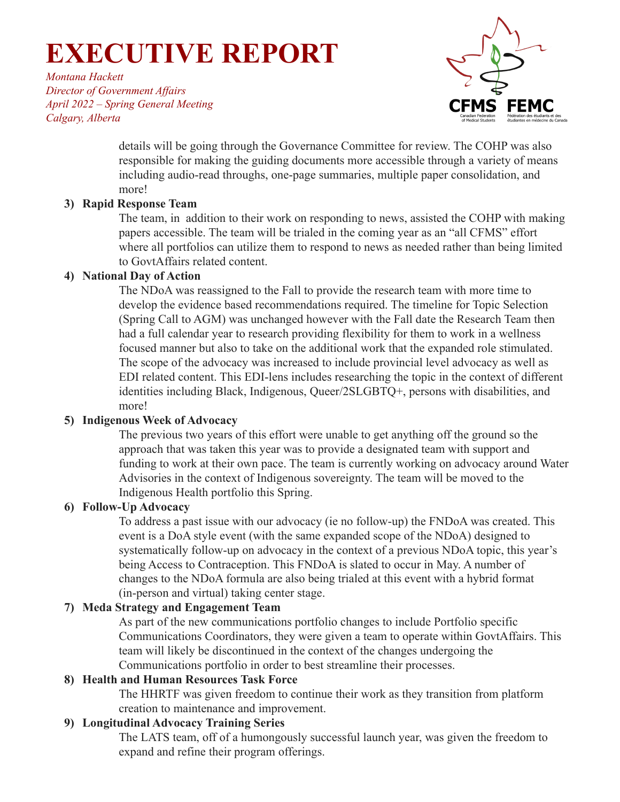*Montana Hackett Director of Government Af airs April 2022 – Spring General Meeting Calgary, Alberta*



details will be going through the Governance Committee for review. The COHP was also responsible for making the guiding documents more accessible through a variety of means including audio-read throughs, one-page summaries, multiple paper consolidation, and more!

#### **3) Rapid Response Team**

The team, in addition to their work on responding to news, assisted the COHP with making papers accessible. The team will be trialed in the coming year as an "all CFMS" effort where all portfolios can utilize them to respond to news as needed rather than being limited to GovtAffairs related content.

#### **4) National Day of Action**

The NDoA was reassigned to the Fall to provide the research team with more time to develop the evidence based recommendations required. The timeline for Topic Selection (Spring Call to AGM) was unchanged however with the Fall date the Research Team then had a full calendar year to research providing flexibility for them to work in a wellness focused manner but also to take on the additional work that the expanded role stimulated. The scope of the advocacy was increased to include provincial level advocacy as well as EDI related content. This EDI-lens includes researching the topic in the context of different identities including Black, Indigenous, Queer/2SLGBTQ+, persons with disabilities, and more!

#### **5) Indigenous Week of Advocacy**

The previous two years of this effort were unable to get anything off the ground so the approach that was taken this year was to provide a designated team with support and funding to work at their own pace. The team is currently working on advocacy around Water Advisories in the context of Indigenous sovereignty. The team will be moved to the Indigenous Health portfolio this Spring.

#### **6) Follow-Up Advocacy**

To address a past issue with our advocacy (ie no follow-up) the FNDoA was created. This event is a DoA style event (with the same expanded scope of the NDoA) designed to systematically follow-up on advocacy in the context of a previous NDoA topic, this year's being Access to Contraception. This FNDoA is slated to occur in May. A number of changes to the NDoA formula are also being trialed at this event with a hybrid format (in-person and virtual) taking center stage.

#### **7) Meda Strategy and Engagement Team**

As part of the new communications portfolio changes to include Portfolio specific Communications Coordinators, they were given a team to operate within GovtAffairs. This team will likely be discontinued in the context of the changes undergoing the Communications portfolio in order to best streamline their processes.

#### **8) Health and Human Resources Task Force**

The HHRTF was given freedom to continue their work as they transition from platform creation to maintenance and improvement.

#### **9) Longitudinal Advocacy Training Series**

The LATS team, off of a humongously successful launch year, was given the freedom to expand and refine their program offerings.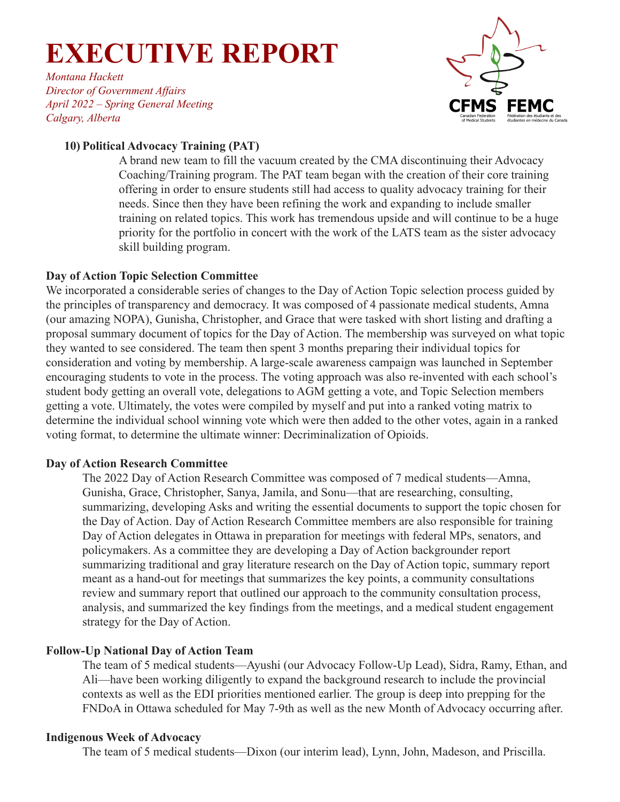*Montana Hackett Director of Government Af airs April 2022 – Spring General Meeting Calgary, Alberta*



#### **10) Political Advocacy Training (PAT)**

A brand new team to fill the vacuum created by the CMA discontinuing their Advocacy Coaching/Training program. The PAT team began with the creation of their core training offering in order to ensure students still had access to quality advocacy training for their needs. Since then they have been refining the work and expanding to include smaller training on related topics. This work has tremendous upside and will continue to be a huge priority for the portfolio in concert with the work of the LATS team as the sister advocacy skill building program.

#### **Day of Action Topic Selection Committee**

We incorporated a considerable series of changes to the Day of Action Topic selection process guided by the principles of transparency and democracy. It was composed of 4 passionate medical students, Amna (our amazing NOPA), Gunisha, Christopher, and Grace that were tasked with short listing and drafting a proposal summary document of topics for the Day of Action. The membership was surveyed on what topic they wanted to see considered. The team then spent 3 months preparing their individual topics for consideration and voting by membership. A large-scale awareness campaign was launched in September encouraging students to vote in the process. The voting approach was also re-invented with each school's student body getting an overall vote, delegations to AGM getting a vote, and Topic Selection members getting a vote. Ultimately, the votes were compiled by myself and put into a ranked voting matrix to determine the individual school winning vote which were then added to the other votes, again in a ranked voting format, to determine the ultimate winner: Decriminalization of Opioids.

#### **Day of Action Research Committee**

The 2022 Day of Action Research Committee was composed of 7 medical students—Amna, Gunisha, Grace, Christopher, Sanya, Jamila, and Sonu—that are researching, consulting, summarizing, developing Asks and writing the essential documents to support the topic chosen for the Day of Action. Day of Action Research Committee members are also responsible for training Day of Action delegates in Ottawa in preparation for meetings with federal MPs, senators, and policymakers. As a committee they are developing a Day of Action backgrounder report summarizing traditional and gray literature research on the Day of Action topic, summary report meant as a hand-out for meetings that summarizes the key points, a community consultations review and summary report that outlined our approach to the community consultation process, analysis, and summarized the key findings from the meetings, and a medical student engagement strategy for the Day of Action.

#### **Follow-Up National Day of Action Team**

The team of 5 medical students—Ayushi (our Advocacy Follow-Up Lead), Sidra, Ramy, Ethan, and Ali—have been working diligently to expand the background research to include the provincial contexts as well as the EDI priorities mentioned earlier. The group is deep into prepping for the FNDoA in Ottawa scheduled for May 7-9th as well as the new Month of Advocacy occurring after.

#### **Indigenous Week of Advocacy**

The team of 5 medical students—Dixon (our interim lead), Lynn, John, Madeson, and Priscilla.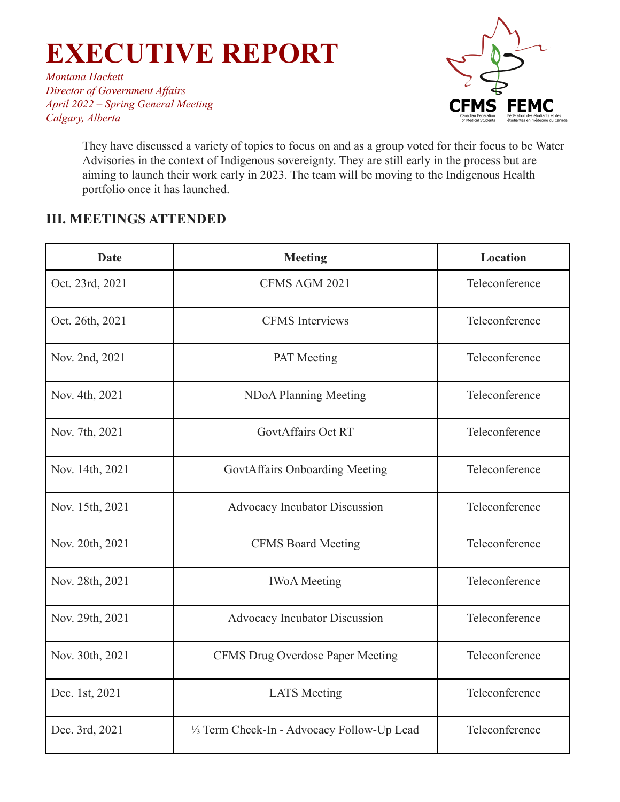*Montana Hackett Director of Government Af airs April 2022 – Spring General Meeting Calgary, Alberta*



They have discussed a variety of topics to focus on and as a group voted for their focus to be Water Advisories in the context of Indigenous sovereignty. They are still early in the process but are aiming to launch their work early in 2023. The team will be moving to the Indigenous Health portfolio once it has launched.

### **III. MEETINGS ATTENDED**

| <b>Date</b>     | <b>Meeting</b>                              | Location       |
|-----------------|---------------------------------------------|----------------|
| Oct. 23rd, 2021 | CFMS AGM 2021                               | Teleconference |
| Oct. 26th, 2021 | <b>CFMS</b> Interviews                      | Teleconference |
| Nov. 2nd, 2021  | <b>PAT</b> Meeting                          | Teleconference |
| Nov. 4th, 2021  | NDoA Planning Meeting                       | Teleconference |
| Nov. 7th, 2021  | <b>GovtAffairs Oct RT</b>                   | Teleconference |
| Nov. 14th, 2021 | GovtAffairs Onboarding Meeting              | Teleconference |
| Nov. 15th, 2021 | Advocacy Incubator Discussion               | Teleconference |
| Nov. 20th, 2021 | <b>CFMS Board Meeting</b>                   | Teleconference |
| Nov. 28th, 2021 | <b>IWoA</b> Meeting                         | Teleconference |
| Nov. 29th, 2021 | Advocacy Incubator Discussion               | Teleconference |
| Nov. 30th, 2021 | <b>CFMS Drug Overdose Paper Meeting</b>     | Teleconference |
| Dec. 1st, 2021  | <b>LATS</b> Meeting                         | Teleconference |
| Dec. 3rd, 2021  | 1/3 Term Check-In - Advocacy Follow-Up Lead | Teleconference |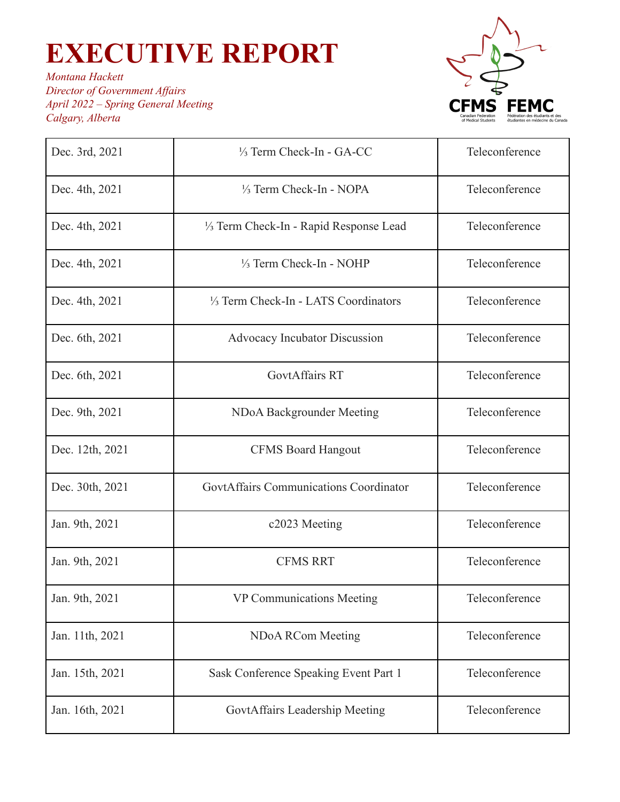

| Dec. 3rd, 2021  | 1/ <sub>3</sub> Term Check-In - GA-CC               | Teleconference |
|-----------------|-----------------------------------------------------|----------------|
| Dec. 4th, 2021  | 1/3 Term Check-In - NOPA                            | Teleconference |
| Dec. 4th, 2021  | 1/ <sub>3</sub> Term Check-In - Rapid Response Lead | Teleconference |
| Dec. 4th, 2021  | 1/3 Term Check-In - NOHP                            | Teleconference |
| Dec. 4th, 2021  | 1/ <sub>3</sub> Term Check-In - LATS Coordinators   | Teleconference |
| Dec. 6th, 2021  | Advocacy Incubator Discussion                       | Teleconference |
| Dec. 6th, 2021  | <b>GovtAffairs RT</b>                               | Teleconference |
| Dec. 9th, 2021  | NDoA Backgrounder Meeting                           | Teleconference |
| Dec. 12th, 2021 | <b>CFMS Board Hangout</b>                           | Teleconference |
| Dec. 30th, 2021 | GovtAffairs Communications Coordinator              | Teleconference |
| Jan. 9th, 2021  | c2023 Meeting                                       | Teleconference |
| Jan. 9th, 2021  | <b>CFMS RRT</b>                                     | Teleconference |
| Jan. 9th, 2021  | <b>VP Communications Meeting</b>                    | Teleconference |
| Jan. 11th, 2021 | NDoA RCom Meeting                                   | Teleconference |
| Jan. 15th, 2021 | Sask Conference Speaking Event Part 1               | Teleconference |
| Jan. 16th, 2021 | GovtAffairs Leadership Meeting                      | Teleconference |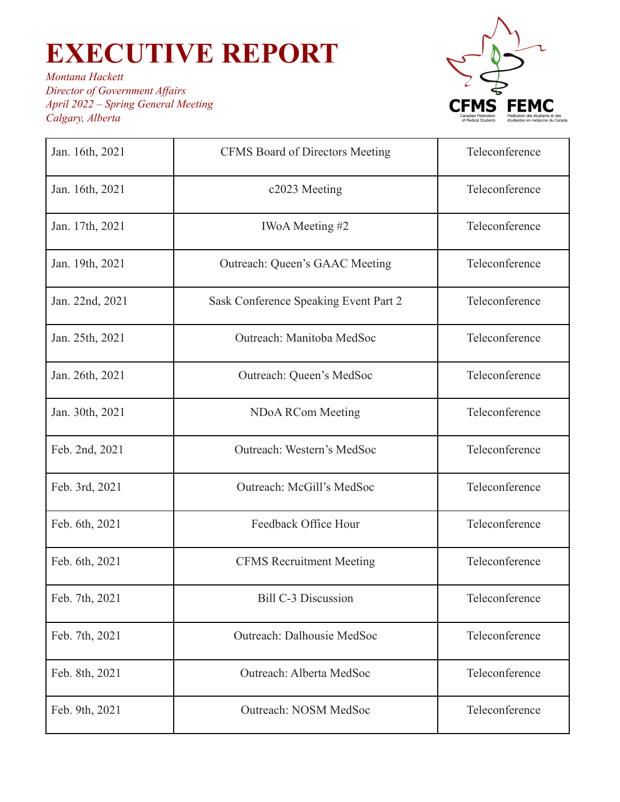

| Jan. 16th, 2021 | <b>CFMS Board of Directors Meeting</b> | Teleconference |
|-----------------|----------------------------------------|----------------|
| Jan. 16th, 2021 | c2023 Meeting                          | Teleconference |
| Jan. 17th, 2021 | IWoA Meeting #2                        | Teleconference |
| Jan. 19th, 2021 | <b>Outreach: Queen's GAAC Meeting</b>  | Teleconference |
| Jan. 22nd, 2021 | Sask Conference Speaking Event Part 2  | Teleconference |
| Jan. 25th, 2021 | Outreach: Manitoba MedSoc              | Teleconference |
| Jan. 26th, 2021 | Outreach: Queen's MedSoc               | Teleconference |
| Jan. 30th, 2021 | <b>NDoA RCom Meeting</b>               | Teleconference |
| Feb. 2nd, 2021  | Outreach: Western's MedSoc             | Teleconference |
| Feb. 3rd, 2021  | Outreach: McGill's MedSoc              | Teleconference |
| Feb. 6th, 2021  | Feedback Office Hour                   | Teleconference |
| Feb. 6th, 2021  | <b>CFMS Recruitment Meeting</b>        | Teleconference |
| Feb. 7th, 2021  | <b>Bill C-3 Discussion</b>             | Teleconference |
| Feb. 7th, 2021  | Outreach: Dalhousie MedSoc             | Teleconference |
| Feb. 8th, 2021  | Outreach: Alberta MedSoc               | Teleconference |
| Feb. 9th, 2021  | Outreach: NOSM MedSoc                  | Teleconference |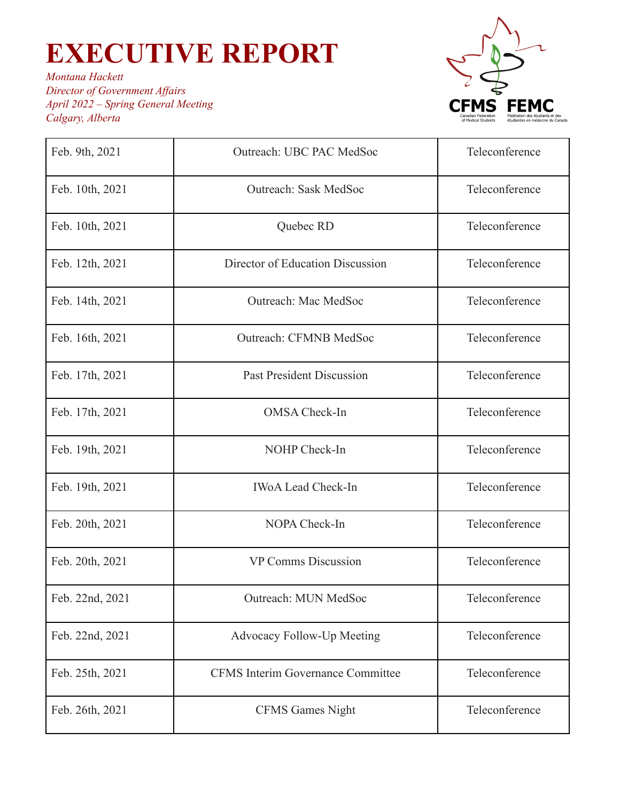

| Feb. 9th, 2021  | Outreach: UBC PAC MedSoc                 | Teleconference |
|-----------------|------------------------------------------|----------------|
| Feb. 10th, 2021 | <b>Outreach: Sask MedSoc</b>             | Teleconference |
| Feb. 10th, 2021 | Quebec RD                                | Teleconference |
| Feb. 12th, 2021 | Director of Education Discussion         | Teleconference |
| Feb. 14th, 2021 | Outreach: Mac MedSoc                     | Teleconference |
| Feb. 16th, 2021 | <b>Outreach: CFMNB MedSoc</b>            | Teleconference |
| Feb. 17th, 2021 | <b>Past President Discussion</b>         | Teleconference |
| Feb. 17th, 2021 | <b>OMSA</b> Check-In                     | Teleconference |
| Feb. 19th, 2021 | NOHP Check-In                            | Teleconference |
| Feb. 19th, 2021 | <b>IWoA Lead Check-In</b>                | Teleconference |
| Feb. 20th, 2021 | NOPA Check-In                            | Teleconference |
| Feb. 20th, 2021 | <b>VP Comms Discussion</b>               | Teleconference |
| Feb. 22nd, 2021 | Outreach: MUN MedSoc                     | Teleconference |
| Feb. 22nd, 2021 | <b>Advocacy Follow-Up Meeting</b>        | Teleconference |
| Feb. 25th, 2021 | <b>CFMS</b> Interim Governance Committee | Teleconference |
| Feb. 26th, 2021 | <b>CFMS Games Night</b>                  | Teleconference |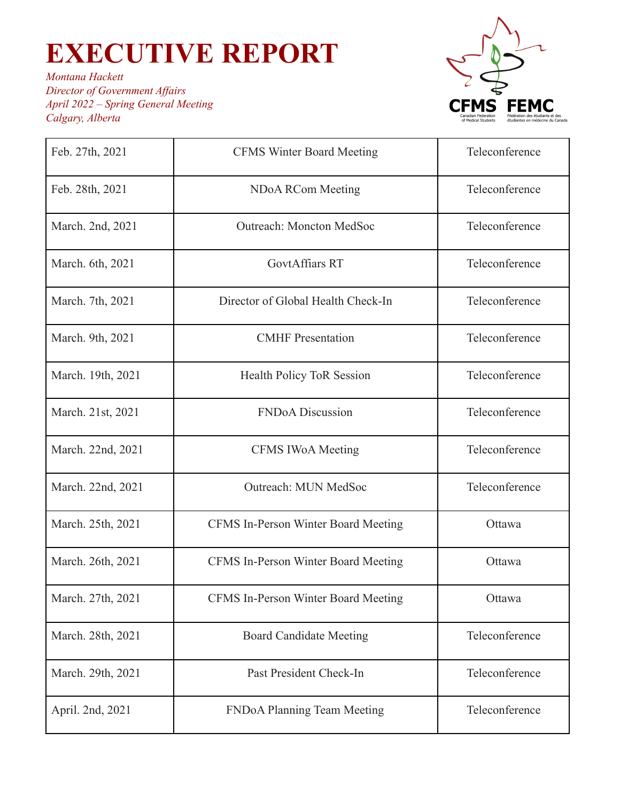

| Feb. 27th, 2021   | <b>CFMS Winter Board Meeting</b>    | Teleconference |
|-------------------|-------------------------------------|----------------|
| Feb. 28th, 2021   | NDoA RCom Meeting                   | Teleconference |
| March. 2nd, 2021  | <b>Outreach: Moncton MedSoc</b>     | Teleconference |
| March. 6th, 2021  | <b>GovtAffiars RT</b>               | Teleconference |
| March. 7th, 2021  | Director of Global Health Check-In  | Teleconference |
| March. 9th, 2021  | <b>CMHF</b> Presentation            | Teleconference |
| March. 19th, 2021 | <b>Health Policy ToR Session</b>    | Teleconference |
| March. 21st, 2021 | <b>FNDoA</b> Discussion             | Teleconference |
| March. 22nd, 2021 | <b>CFMS IWoA Meeting</b>            | Teleconference |
| March. 22nd, 2021 | Outreach: MUN MedSoc                | Teleconference |
| March. 25th, 2021 | CFMS In-Person Winter Board Meeting | Ottawa         |
| March. 26th, 2021 | CFMS In-Person Winter Board Meeting | Ottawa         |
| March. 27th, 2021 | CFMS In-Person Winter Board Meeting | Ottawa         |
| March. 28th, 2021 | <b>Board Candidate Meeting</b>      | Teleconference |
| March. 29th, 2021 | Past President Check-In             | Teleconference |
| April. 2nd, 2021  | FNDoA Planning Team Meeting         | Teleconference |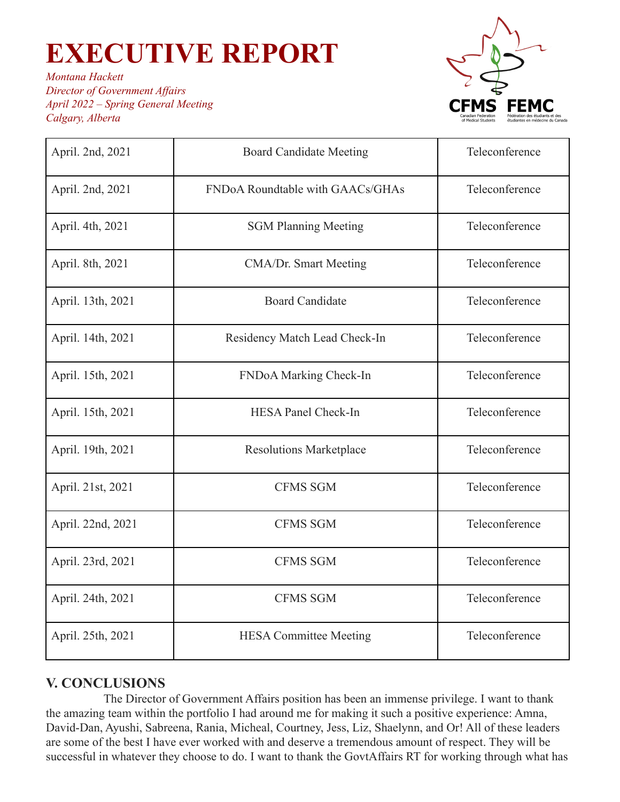*Montana Hackett Director of Government Af airs April 2022 – Spring General Meeting Calgary, Alberta*



| April. 2nd, 2021  | <b>Board Candidate Meeting</b>   | Teleconference |
|-------------------|----------------------------------|----------------|
| April. 2nd, 2021  | FNDoA Roundtable with GAACs/GHAs | Teleconference |
| April. 4th, 2021  | <b>SGM Planning Meeting</b>      | Teleconference |
| April. 8th, 2021  | CMA/Dr. Smart Meeting            | Teleconference |
| April. 13th, 2021 | <b>Board Candidate</b>           | Teleconference |
| April. 14th, 2021 | Residency Match Lead Check-In    | Teleconference |
| April. 15th, 2021 | FNDoA Marking Check-In           | Teleconference |
| April. 15th, 2021 | <b>HESA Panel Check-In</b>       | Teleconference |
| April. 19th, 2021 | <b>Resolutions Marketplace</b>   | Teleconference |
| April. 21st, 2021 | <b>CFMS SGM</b>                  | Teleconference |
| April. 22nd, 2021 | <b>CFMS SGM</b>                  | Teleconference |
| April. 23rd, 2021 | <b>CFMS SGM</b>                  | Teleconference |
| April. 24th, 2021 | <b>CFMS SGM</b>                  | Teleconference |
| April. 25th, 2021 | <b>HESA Committee Meeting</b>    | Teleconference |

### **V. CONCLUSIONS**

The Director of Government Affairs position has been an immense privilege. I want to thank the amazing team within the portfolio I had around me for making it such a positive experience: Amna, David-Dan, Ayushi, Sabreena, Rania, Micheal, Courtney, Jess, Liz, Shaelynn, and Or! All of these leaders are some of the best I have ever worked with and deserve a tremendous amount of respect. They will be successful in whatever they choose to do. I want to thank the GovtAffairs RT for working through what has